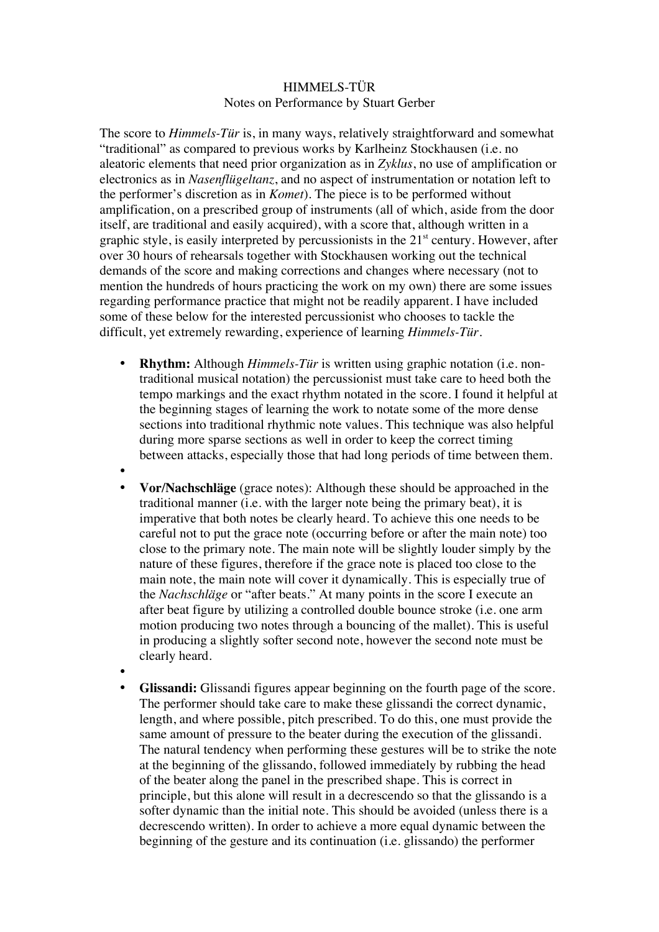## HIMMELS-TÜR Notes on Performance by Stuart Gerber

The score to *Himmels-Tür* is, in many ways, relatively straightforward and somewhat "traditional" as compared to previous works by Karlheinz Stockhausen (i.e. no aleatoric elements that need prior organization as in *Zyklus*, no use of amplification or electronics as in *Nasenflügeltanz*, and no aspect of instrumentation or notation left to the performer's discretion as in *Komet*). The piece is to be performed without amplification, on a prescribed group of instruments (all of which, aside from the door itself, are traditional and easily acquired), with a score that, although written in a graphic style, is easily interpreted by percussionists in the  $21<sup>st</sup>$  century. However, after over 30 hours of rehearsals together with Stockhausen working out the technical demands of the score and making corrections and changes where necessary (not to mention the hundreds of hours practicing the work on my own) there are some issues regarding performance practice that might not be readily apparent. I have included some of these below for the interested percussionist who chooses to tackle the difficult, yet extremely rewarding, experience of learning *Himmels-Tür*.

- **Rhythm:** Although *Himmels-Tür* is written using graphic notation (i.e. nontraditional musical notation) the percussionist must take care to heed both the tempo markings and the exact rhythm notated in the score. I found it helpful at the beginning stages of learning the work to notate some of the more dense sections into traditional rhythmic note values. This technique was also helpful during more sparse sections as well in order to keep the correct timing between attacks, especially those that had long periods of time between them.
- •
- **Vor/Nachschläge** (grace notes): Although these should be approached in the traditional manner (i.e. with the larger note being the primary beat), it is imperative that both notes be clearly heard. To achieve this one needs to be careful not to put the grace note (occurring before or after the main note) too close to the primary note. The main note will be slightly louder simply by the nature of these figures, therefore if the grace note is placed too close to the main note, the main note will cover it dynamically. This is especially true of the *Nachschläge* or "after beats." At many points in the score I execute an after beat figure by utilizing a controlled double bounce stroke (i.e. one arm motion producing two notes through a bouncing of the mallet). This is useful in producing a slightly softer second note, however the second note must be clearly heard.
- •
- **Glissandi:** Glissandi figures appear beginning on the fourth page of the score. The performer should take care to make these glissandi the correct dynamic, length, and where possible, pitch prescribed. To do this, one must provide the same amount of pressure to the beater during the execution of the glissandi. The natural tendency when performing these gestures will be to strike the note at the beginning of the glissando, followed immediately by rubbing the head of the beater along the panel in the prescribed shape. This is correct in principle, but this alone will result in a decrescendo so that the glissando is a softer dynamic than the initial note. This should be avoided (unless there is a decrescendo written). In order to achieve a more equal dynamic between the beginning of the gesture and its continuation (i.e. glissando) the performer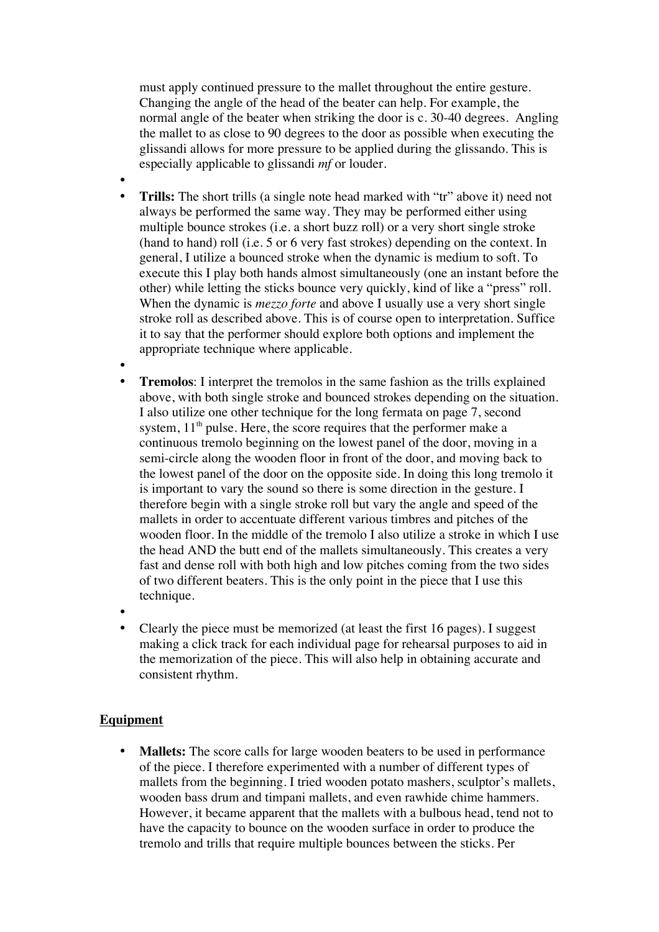must apply continued pressure to the mallet throughout the entire gesture. Changing the angle of the head of the beater can help. For example, the normal angle of the beater when striking the door is c. 30-40 degrees. Angling the mallet to as close to 90 degrees to the door as possible when executing the glissandi allows for more pressure to be applied during the glissando. This is especially applicable to glissandi *mf* or louder.

- • **Trills:** The short trills (a single note head marked with "tr" above it) need not always be performed the same way. They may be performed either using multiple bounce strokes (i.e. a short buzz roll) or a very short single stroke (hand to hand) roll (i.e. 5 or 6 very fast strokes) depending on the context. In general, I utilize a bounced stroke when the dynamic is medium to soft. To execute this I play both hands almost simultaneously (one an instant before the other) while letting the sticks bounce very quickly, kind of like a "press" roll. When the dynamic is *mezzo forte* and above I usually use a very short single stroke roll as described above. This is of course open to interpretation. Suffice it to say that the performer should explore both options and implement the appropriate technique where applicable.
- • **Tremolos**: I interpret the tremolos in the same fashion as the trills explained above, with both single stroke and bounced strokes depending on the situation. I also utilize one other technique for the long fermata on page 7, second system,  $11<sup>th</sup>$  pulse. Here, the score requires that the performer make a continuous tremolo beginning on the lowest panel of the door, moving in a semi-circle along the wooden floor in front of the door, and moving back to the lowest panel of the door on the opposite side. In doing this long tremolo it is important to vary the sound so there is some direction in the gesture. I therefore begin with a single stroke roll but vary the angle and speed of the mallets in order to accentuate different various timbres and pitches of the wooden floor. In the middle of the tremolo I also utilize a stroke in which I use the head AND the butt end of the mallets simultaneously. This creates a very fast and dense roll with both high and low pitches coming from the two sides of two different beaters. This is the only point in the piece that I use this technique.
- •
- Clearly the piece must be memorized (at least the first 16 pages). I suggest making a click track for each individual page for rehearsal purposes to aid in the memorization of the piece. This will also help in obtaining accurate and consistent rhythm.

## **Equipment**

**Mallets:** The score calls for large wooden beaters to be used in performance of the piece. I therefore experimented with a number of different types of mallets from the beginning. I tried wooden potato mashers, sculptor's mallets, wooden bass drum and timpani mallets, and even rawhide chime hammers. However, it became apparent that the mallets with a bulbous head, tend not to have the capacity to bounce on the wooden surface in order to produce the tremolo and trills that require multiple bounces between the sticks. Per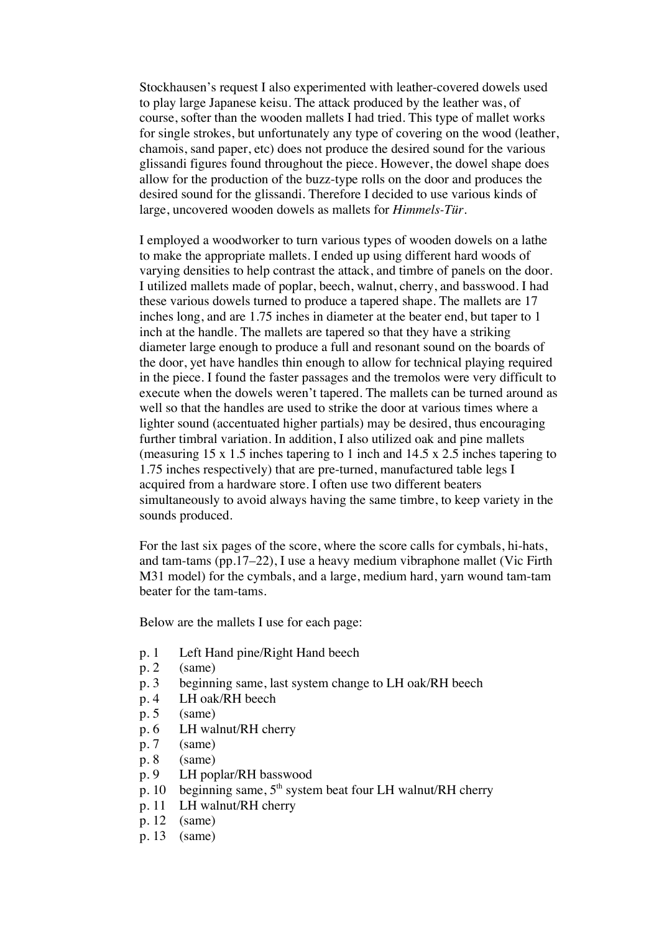Stockhausen's request I also experimented with leather-covered dowels used to play large Japanese keisu. The attack produced by the leather was, of course, softer than the wooden mallets I had tried. This type of mallet works for single strokes, but unfortunately any type of covering on the wood (leather, chamois, sand paper, etc) does not produce the desired sound for the various glissandi figures found throughout the piece. However, the dowel shape does allow for the production of the buzz-type rolls on the door and produces the desired sound for the glissandi. Therefore I decided to use various kinds of large, uncovered wooden dowels as mallets for *Himmels-Tür*.

I employed a woodworker to turn various types of wooden dowels on a lathe to make the appropriate mallets. I ended up using different hard woods of varying densities to help contrast the attack, and timbre of panels on the door. I utilized mallets made of poplar, beech, walnut, cherry, and basswood. I had these various dowels turned to produce a tapered shape. The mallets are 17 inches long, and are 1.75 inches in diameter at the beater end, but taper to 1 inch at the handle. The mallets are tapered so that they have a striking diameter large enough to produce a full and resonant sound on the boards of the door, yet have handles thin enough to allow for technical playing required in the piece. I found the faster passages and the tremolos were very difficult to execute when the dowels weren't tapered. The mallets can be turned around as well so that the handles are used to strike the door at various times where a lighter sound (accentuated higher partials) may be desired, thus encouraging further timbral variation. In addition, I also utilized oak and pine mallets (measuring 15 x 1.5 inches tapering to 1 inch and 14.5 x 2.5 inches tapering to 1.75 inches respectively) that are pre-turned, manufactured table legs I acquired from a hardware store. I often use two different beaters simultaneously to avoid always having the same timbre, to keep variety in the sounds produced.

For the last six pages of the score, where the score calls for cymbals, hi-hats, and tam-tams (pp.17–22), I use a heavy medium vibraphone mallet (Vic Firth M31 model) for the cymbals, and a large, medium hard, yarn wound tam-tam beater for the tam-tams.

Below are the mallets I use for each page:

- p. 1 Left Hand pine/Right Hand beech
- $p. 2$  (same)
- p. 3 beginning same, last system change to LH oak/RH beech
- p. 4 LH oak/RH beech
- $p. 5$  (same)
- p. 6 LH walnut/RH cherry
- p. 7 (same)
- p. 8 (same)
- p. 9 LH poplar/RH basswood
- p. 10 beginning same,  $5<sup>th</sup>$  system beat four LH walnut/RH cherry
- p. 11 LH walnut/RH cherry
- p. 12 (same)
- p. 13 (same)